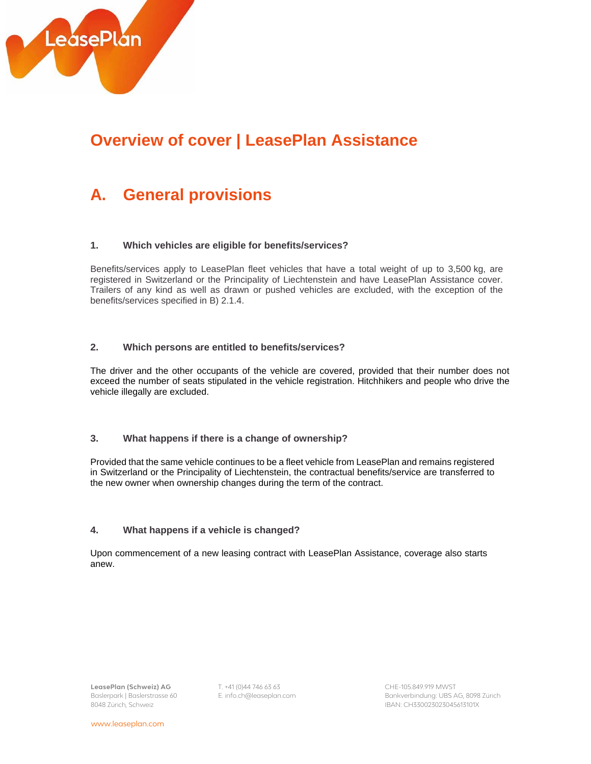

# **Overview of cover | LeasePlan Assistance**

# **A. General provisions**

#### **1. Which vehicles are eligible for benefits/services?**

Benefits/services apply to LeasePlan fleet vehicles that have a total weight of up to 3,500 kg, are registered in Switzerland or the Principality of Liechtenstein and have LeasePlan Assistance cover. Trailers of any kind as well as drawn or pushed vehicles are excluded, with the exception of the benefits/services specified in B) 2.1.4.

#### **2. Which persons are entitled to benefits/services?**

The driver and the other occupants of the vehicle are covered, provided that their number does not exceed the number of seats stipulated in the vehicle registration. Hitchhikers and people who drive the vehicle illegally are excluded.

## **3. What happens if there is a change of ownership?**

Provided that the same vehicle continues to be a fleet vehicle from LeasePlan and remains registered in Switzerland or the Principality of Liechtenstein, the contractual benefits/service are transferred to the new owner when ownership changes during the term of the contract.

## **4. What happens if a vehicle is changed?**

Upon commencement of a new leasing contract with LeasePlan Assistance, coverage also starts anew.

**LeasePlan (Schweiz) AG** T. +41 (0)44 746 63 63 CHE-105.849.919 MWST 8048 Zürich, Schweiz

Baslerpark | Baslerstrasse 60 E. info.ch@leaseplan.com Bankverbindung: UBS AG, 8098 Zürich IBAN: CH330023023045613101X

www.leaseplan.com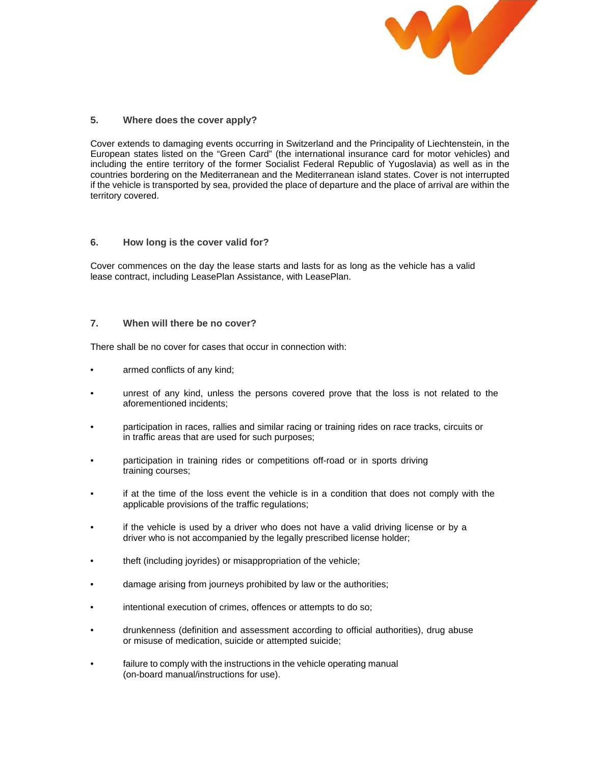

#### **5. Where does the cover apply?**

Cover extends to damaging events occurring in Switzerland and the Principality of Liechtenstein, in the European states listed on the "Green Card" (the international insurance card for motor vehicles) and including the entire territory of the former Socialist Federal Republic of Yugoslavia) as well as in the countries bordering on the Mediterranean and the Mediterranean island states. Cover is not interrupted if the vehicle is transported by sea, provided the place of departure and the place of arrival are within the territory covered.

#### **6. How long is the cover valid for?**

Cover commences on the day the lease starts and lasts for as long as the vehicle has a valid lease contract, including LeasePlan Assistance, with LeasePlan.

#### **7. When will there be no cover?**

There shall be no cover for cases that occur in connection with:

- armed conflicts of any kind;
- unrest of any kind, unless the persons covered prove that the loss is not related to the aforementioned incidents;
- participation in races, rallies and similar racing or training rides on race tracks, circuits or in traffic areas that are used for such purposes;
- participation in training rides or competitions off-road or in sports driving training courses;
- if at the time of the loss event the vehicle is in a condition that does not comply with the applicable provisions of the traffic regulations;
- if the vehicle is used by a driver who does not have a valid driving license or by a driver who is not accompanied by the legally prescribed license holder;
- theft (including joyrides) or misappropriation of the vehicle;
- damage arising from journeys prohibited by law or the authorities;
- intentional execution of crimes, offences or attempts to do so;
- drunkenness (definition and assessment according to official authorities), drug abuse or misuse of medication, suicide or attempted suicide;
- failure to comply with the instructions in the vehicle operating manual (on-board manual/instructions for use).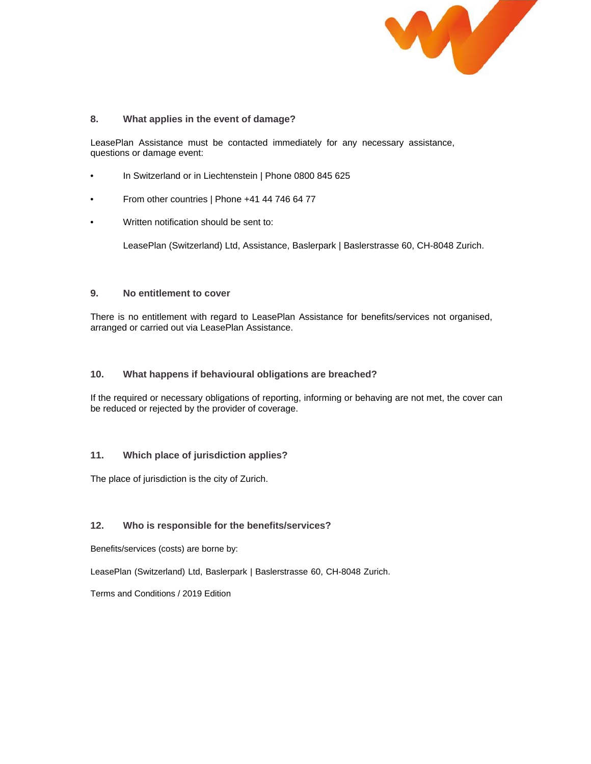

## **8. What applies in the event of damage?**

LeasePlan Assistance must be contacted immediately for any necessary assistance, questions or damage event:

- In Switzerland or in Liechtenstein | Phone 0800 845 625
- From other countries | Phone +41 44 746 64 77
- Written notification should be sent to:

LeasePlan (Switzerland) Ltd, Assistance, Baslerpark | Baslerstrasse 60, CH-8048 Zurich.

#### **9. No entitlement to cover**

There is no entitlement with regard to LeasePlan Assistance for benefits/services not organised, arranged or carried out via LeasePlan Assistance.

#### **10. What happens if behavioural obligations are breached?**

If the required or necessary obligations of reporting, informing or behaving are not met, the cover can be reduced or rejected by the provider of coverage.

## **11. Which place of jurisdiction applies?**

The place of jurisdiction is the city of Zurich.

## **12. Who is responsible for the benefits/services?**

Benefits/services (costs) are borne by:

LeasePlan (Switzerland) Ltd, Baslerpark | Baslerstrasse 60, CH-8048 Zurich.

Terms and Conditions / 2019 Edition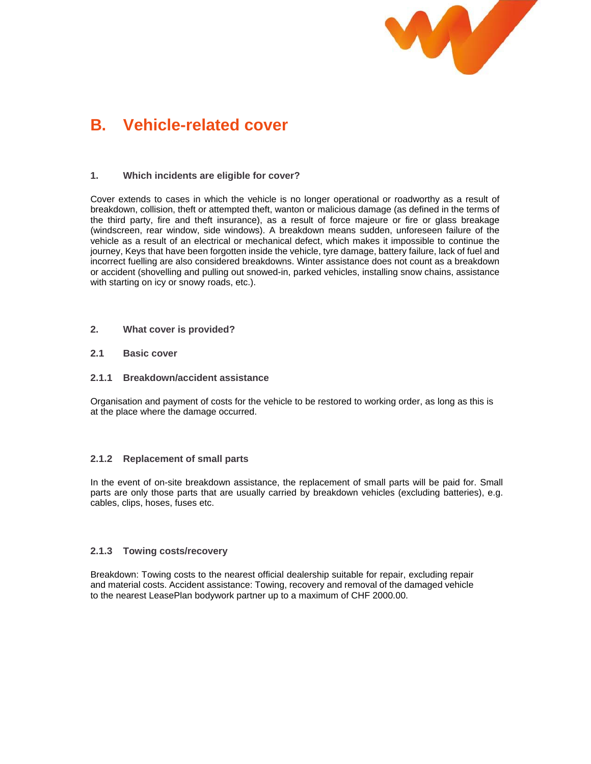

# **B. Vehicle-related cover**

## **1. Which incidents are eligible for cover?**

Cover extends to cases in which the vehicle is no longer operational or roadworthy as a result of breakdown, collision, theft or attempted theft, wanton or malicious damage (as defined in the terms of the third party, fire and theft insurance), as a result of force majeure or fire or glass breakage (windscreen, rear window, side windows). A breakdown means sudden, unforeseen failure of the vehicle as a result of an electrical or mechanical defect, which makes it impossible to continue the journey, Keys that have been forgotten inside the vehicle, tyre damage, battery failure, lack of fuel and incorrect fuelling are also considered breakdowns. Winter assistance does not count as a breakdown or accident (shovelling and pulling out snowed-in, parked vehicles, installing snow chains, assistance with starting on icy or snowy roads, etc.).

## **2. What cover is provided?**

## **2.1 Basic cover**

## **2.1.1 Breakdown/accident assistance**

Organisation and payment of costs for the vehicle to be restored to working order, as long as this is at the place where the damage occurred.

## **2.1.2 Replacement of small parts**

In the event of on-site breakdown assistance, the replacement of small parts will be paid for. Small parts are only those parts that are usually carried by breakdown vehicles (excluding batteries), e.g. cables, clips, hoses, fuses etc.

## **2.1.3 Towing costs/recovery**

Breakdown: Towing costs to the nearest official dealership suitable for repair, excluding repair and material costs. Accident assistance: Towing, recovery and removal of the damaged vehicle to the nearest LeasePlan bodywork partner up to a maximum of CHF 2000.00.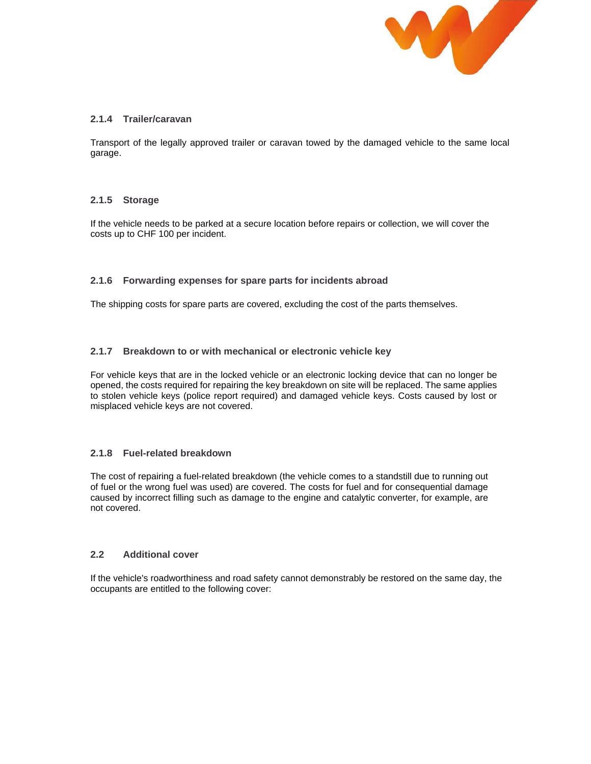

# **2.1.4 Trailer/caravan**

Transport of the legally approved trailer or caravan towed by the damaged vehicle to the same local garage.

## **2.1.5 Storage**

If the vehicle needs to be parked at a secure location before repairs or collection, we will cover the costs up to CHF 100 per incident.

## **2.1.6 Forwarding expenses for spare parts for incidents abroad**

The shipping costs for spare parts are covered, excluding the cost of the parts themselves.

## **2.1.7 Breakdown to or with mechanical or electronic vehicle key**

For vehicle keys that are in the locked vehicle or an electronic locking device that can no longer be opened, the costs required for repairing the key breakdown on site will be replaced. The same applies to stolen vehicle keys (police report required) and damaged vehicle keys. Costs caused by lost or misplaced vehicle keys are not covered.

## **2.1.8 Fuel-related breakdown**

The cost of repairing a fuel-related breakdown (the vehicle comes to a standstill due to running out of fuel or the wrong fuel was used) are covered. The costs for fuel and for consequential damage caused by incorrect filling such as damage to the engine and catalytic converter, for example, are not covered.

## **2.2 Additional cover**

If the vehicle's roadworthiness and road safety cannot demonstrably be restored on the same day, the occupants are entitled to the following cover: